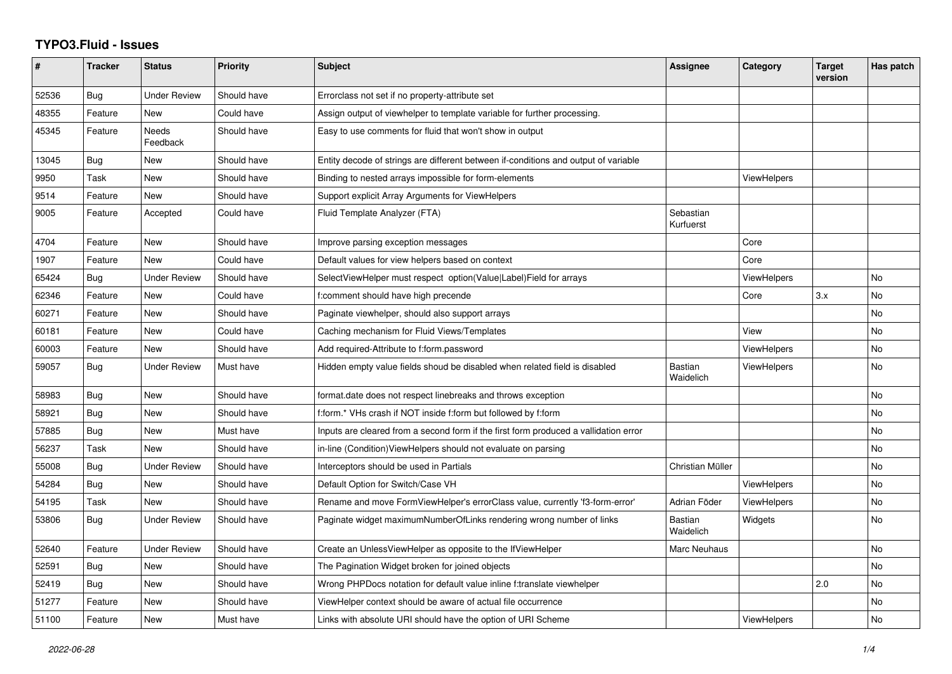## **TYPO3.Fluid - Issues**

| $\sharp$ | <b>Tracker</b> | <b>Status</b>       | <b>Priority</b> | <b>Subject</b>                                                                       | Assignee               | Category           | <b>Target</b><br>version | Has patch |
|----------|----------------|---------------------|-----------------|--------------------------------------------------------------------------------------|------------------------|--------------------|--------------------------|-----------|
| 52536    | Bug            | Under Review        | Should have     | Errorclass not set if no property-attribute set                                      |                        |                    |                          |           |
| 48355    | Feature        | <b>New</b>          | Could have      | Assign output of viewhelper to template variable for further processing.             |                        |                    |                          |           |
| 45345    | Feature        | Needs<br>Feedback   | Should have     | Easy to use comments for fluid that won't show in output                             |                        |                    |                          |           |
| 13045    | Bug            | New                 | Should have     | Entity decode of strings are different between if-conditions and output of variable  |                        |                    |                          |           |
| 9950     | Task           | New                 | Should have     | Binding to nested arrays impossible for form-elements                                |                        | <b>ViewHelpers</b> |                          |           |
| 9514     | Feature        | <b>New</b>          | Should have     | Support explicit Array Arguments for ViewHelpers                                     |                        |                    |                          |           |
| 9005     | Feature        | Accepted            | Could have      | Fluid Template Analyzer (FTA)                                                        | Sebastian<br>Kurfuerst |                    |                          |           |
| 4704     | Feature        | New                 | Should have     | Improve parsing exception messages                                                   |                        | Core               |                          |           |
| 1907     | Feature        | New                 | Could have      | Default values for view helpers based on context                                     |                        | Core               |                          |           |
| 65424    | Bug            | <b>Under Review</b> | Should have     | SelectViewHelper must respect option(Value Label)Field for arrays                    |                        | <b>ViewHelpers</b> |                          | No        |
| 62346    | Feature        | New                 | Could have      | f:comment should have high precende                                                  |                        | Core               | 3.x                      | No        |
| 60271    | Feature        | New                 | Should have     | Paginate viewhelper, should also support arrays                                      |                        |                    |                          | No        |
| 60181    | Feature        | New                 | Could have      | Caching mechanism for Fluid Views/Templates                                          |                        | View               |                          | No        |
| 60003    | Feature        | New                 | Should have     | Add required-Attribute to f:form.password                                            |                        | <b>ViewHelpers</b> |                          | No        |
| 59057    | Bug            | Under Review        | Must have       | Hidden empty value fields shoud be disabled when related field is disabled           | Bastian<br>Waidelich   | ViewHelpers        |                          | No        |
| 58983    | <b>Bug</b>     | New                 | Should have     | format.date does not respect linebreaks and throws exception                         |                        |                    |                          | <b>No</b> |
| 58921    | Bug            | New                 | Should have     | f:form.* VHs crash if NOT inside f:form but followed by f:form                       |                        |                    |                          | <b>No</b> |
| 57885    | Bug            | <b>New</b>          | Must have       | Inputs are cleared from a second form if the first form produced a vallidation error |                        |                    |                          | No        |
| 56237    | Task           | New                 | Should have     | in-line (Condition) View Helpers should not evaluate on parsing                      |                        |                    |                          | <b>No</b> |
| 55008    | Bug            | Under Review        | Should have     | Interceptors should be used in Partials                                              | Christian Müller       |                    |                          | No        |
| 54284    | <b>Bug</b>     | New                 | Should have     | Default Option for Switch/Case VH                                                    |                        | <b>ViewHelpers</b> |                          | No.       |
| 54195    | Task           | New                 | Should have     | Rename and move FormViewHelper's errorClass value, currently 'f3-form-error'         | Adrian Föder           | <b>ViewHelpers</b> |                          | <b>No</b> |
| 53806    | Bug            | Under Review        | Should have     | Paginate widget maximumNumberOfLinks rendering wrong number of links                 | Bastian<br>Waidelich   | Widgets            |                          | No        |
| 52640    | Feature        | Under Review        | Should have     | Create an UnlessViewHelper as opposite to the IfViewHelper                           | Marc Neuhaus           |                    |                          | No        |
| 52591    | <b>Bug</b>     | New                 | Should have     | The Pagination Widget broken for joined objects                                      |                        |                    |                          | <b>No</b> |
| 52419    | Bug            | New                 | Should have     | Wrong PHPDocs notation for default value inline f:translate viewhelper               |                        |                    | 2.0                      | No        |
| 51277    | Feature        | New                 | Should have     | ViewHelper context should be aware of actual file occurrence                         |                        |                    |                          | No        |
| 51100    | Feature        | <b>New</b>          | Must have       | Links with absolute URI should have the option of URI Scheme                         |                        | <b>ViewHelpers</b> |                          | No        |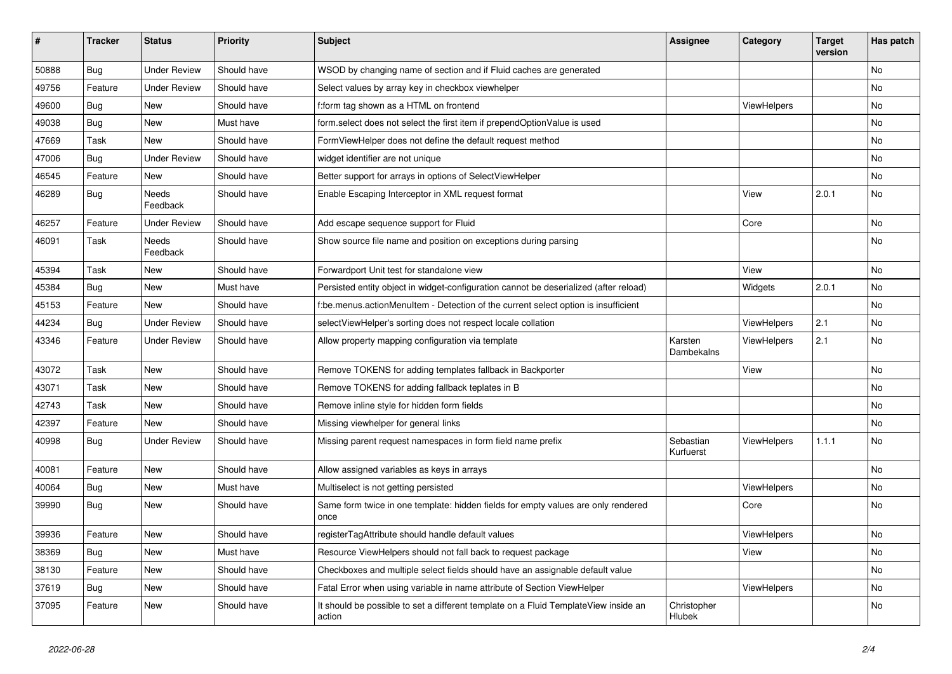| ∦     | <b>Tracker</b> | <b>Status</b>       | <b>Priority</b> | Subject                                                                                       | Assignee               | Category    | <b>Target</b><br>version | Has patch |
|-------|----------------|---------------------|-----------------|-----------------------------------------------------------------------------------------------|------------------------|-------------|--------------------------|-----------|
| 50888 | Bug            | <b>Under Review</b> | Should have     | WSOD by changing name of section and if Fluid caches are generated                            |                        |             |                          | No        |
| 49756 | Feature        | <b>Under Review</b> | Should have     | Select values by array key in checkbox viewhelper                                             |                        |             |                          | No        |
| 49600 | Bug            | New                 | Should have     | f:form tag shown as a HTML on frontend                                                        |                        | ViewHelpers |                          | No        |
| 49038 | Bug            | New                 | Must have       | form.select does not select the first item if prependOptionValue is used                      |                        |             |                          | No        |
| 47669 | Task           | New                 | Should have     | FormViewHelper does not define the default request method                                     |                        |             |                          | No        |
| 47006 | Bug            | <b>Under Review</b> | Should have     | widget identifier are not unique                                                              |                        |             |                          | No        |
| 46545 | Feature        | New                 | Should have     | Better support for arrays in options of SelectViewHelper                                      |                        |             |                          | No        |
| 46289 | <b>Bug</b>     | Needs<br>Feedback   | Should have     | Enable Escaping Interceptor in XML request format                                             |                        | View        | 2.0.1                    | No        |
| 46257 | Feature        | <b>Under Review</b> | Should have     | Add escape sequence support for Fluid                                                         |                        | Core        |                          | No        |
| 46091 | Task           | Needs<br>Feedback   | Should have     | Show source file name and position on exceptions during parsing                               |                        |             |                          | No        |
| 45394 | Task           | New                 | Should have     | Forwardport Unit test for standalone view                                                     |                        | View        |                          | No        |
| 45384 | <b>Bug</b>     | New                 | Must have       | Persisted entity object in widget-configuration cannot be deserialized (after reload)         |                        | Widgets     | 2.0.1                    | <b>No</b> |
| 45153 | Feature        | New                 | Should have     | f:be.menus.actionMenuItem - Detection of the current select option is insufficient            |                        |             |                          | No        |
| 44234 | <b>Bug</b>     | <b>Under Review</b> | Should have     | selectViewHelper's sorting does not respect locale collation                                  |                        | ViewHelpers | 2.1                      | No        |
| 43346 | Feature        | <b>Under Review</b> | Should have     | Allow property mapping configuration via template                                             | Karsten<br>Dambekalns  | ViewHelpers | 2.1                      | No        |
| 43072 | Task           | New                 | Should have     | Remove TOKENS for adding templates fallback in Backporter                                     |                        | View        |                          | No        |
| 43071 | Task           | New                 | Should have     | Remove TOKENS for adding fallback teplates in B                                               |                        |             |                          | No        |
| 42743 | Task           | New                 | Should have     | Remove inline style for hidden form fields                                                    |                        |             |                          | No        |
| 42397 | Feature        | <b>New</b>          | Should have     | Missing viewhelper for general links                                                          |                        |             |                          | No        |
| 40998 | <b>Bug</b>     | Under Review        | Should have     | Missing parent request namespaces in form field name prefix                                   | Sebastian<br>Kurfuerst | ViewHelpers | 1.1.1                    | No        |
| 40081 | Feature        | New                 | Should have     | Allow assigned variables as keys in arrays                                                    |                        |             |                          | No        |
| 40064 | Bug            | New                 | Must have       | Multiselect is not getting persisted                                                          |                        | ViewHelpers |                          | No        |
| 39990 | Bug            | New                 | Should have     | Same form twice in one template: hidden fields for empty values are only rendered<br>once     |                        | Core        |                          | No        |
| 39936 | Feature        | New                 | Should have     | registerTagAttribute should handle default values                                             |                        | ViewHelpers |                          | No        |
| 38369 | <b>Bug</b>     | New                 | Must have       | Resource ViewHelpers should not fall back to request package                                  |                        | View        |                          | No        |
| 38130 | Feature        | New                 | Should have     | Checkboxes and multiple select fields should have an assignable default value                 |                        |             |                          | No        |
| 37619 | Bug            | New                 | Should have     | Fatal Error when using variable in name attribute of Section ViewHelper                       |                        | ViewHelpers |                          | No        |
| 37095 | Feature        | New                 | Should have     | It should be possible to set a different template on a Fluid TemplateView inside an<br>action | Christopher<br>Hlubek  |             |                          | No        |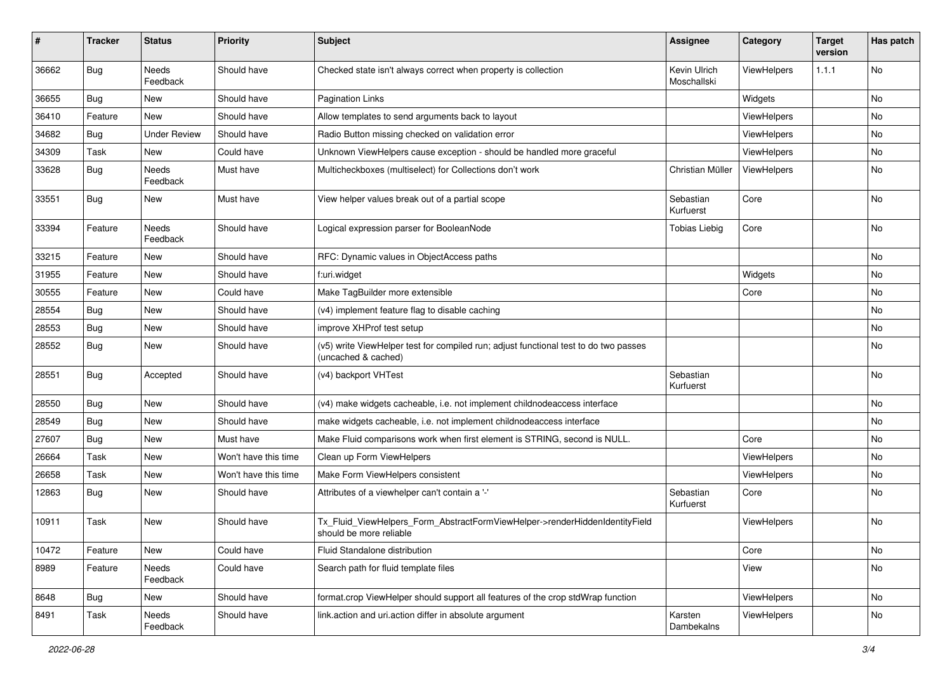| #     | <b>Tracker</b> | <b>Status</b>            | <b>Priority</b>      | <b>Subject</b>                                                                                              | <b>Assignee</b>             | Category    | <b>Target</b><br>version | Has patch |
|-------|----------------|--------------------------|----------------------|-------------------------------------------------------------------------------------------------------------|-----------------------------|-------------|--------------------------|-----------|
| 36662 | Bug            | <b>Needs</b><br>Feedback | Should have          | Checked state isn't always correct when property is collection                                              | Kevin Ulrich<br>Moschallski | ViewHelpers | 1.1.1                    | No        |
| 36655 | <b>Bug</b>     | New                      | Should have          | <b>Pagination Links</b>                                                                                     |                             | Widgets     |                          | No        |
| 36410 | Feature        | <b>New</b>               | Should have          | Allow templates to send arguments back to layout                                                            |                             | ViewHelpers |                          | No        |
| 34682 | Bug            | <b>Under Review</b>      | Should have          | Radio Button missing checked on validation error                                                            |                             | ViewHelpers |                          | No        |
| 34309 | Task           | New                      | Could have           | Unknown ViewHelpers cause exception - should be handled more graceful                                       |                             | ViewHelpers |                          | No        |
| 33628 | Bug            | Needs<br>Feedback        | Must have            | Multicheckboxes (multiselect) for Collections don't work                                                    | Christian Müller            | ViewHelpers |                          | No        |
| 33551 | <b>Bug</b>     | New                      | Must have            | View helper values break out of a partial scope                                                             | Sebastian<br>Kurfuerst      | Core        |                          | No        |
| 33394 | Feature        | Needs<br>Feedback        | Should have          | Logical expression parser for BooleanNode                                                                   | <b>Tobias Liebig</b>        | Core        |                          | No        |
| 33215 | Feature        | New                      | Should have          | RFC: Dynamic values in ObjectAccess paths                                                                   |                             |             |                          | No        |
| 31955 | Feature        | New                      | Should have          | f:uri.widget                                                                                                |                             | Widgets     |                          | No        |
| 30555 | Feature        | New                      | Could have           | Make TagBuilder more extensible                                                                             |                             | Core        |                          | No        |
| 28554 | Bug            | New                      | Should have          | (v4) implement feature flag to disable caching                                                              |                             |             |                          | No        |
| 28553 | Bug            | New                      | Should have          | improve XHProf test setup                                                                                   |                             |             |                          | No        |
| 28552 | Bug            | New                      | Should have          | (v5) write ViewHelper test for compiled run; adjust functional test to do two passes<br>(uncached & cached) |                             |             |                          | No        |
| 28551 | Bug            | Accepted                 | Should have          | (v4) backport VHTest                                                                                        | Sebastian<br>Kurfuerst      |             |                          | No        |
| 28550 | Bug            | New                      | Should have          | (v4) make widgets cacheable, i.e. not implement childnodeaccess interface                                   |                             |             |                          | No        |
| 28549 | Bug            | New                      | Should have          | make widgets cacheable, i.e. not implement childnodeaccess interface                                        |                             |             |                          | No        |
| 27607 | Bug            | New                      | Must have            | Make Fluid comparisons work when first element is STRING, second is NULL.                                   |                             | Core        |                          | No        |
| 26664 | Task           | New                      | Won't have this time | Clean up Form ViewHelpers                                                                                   |                             | ViewHelpers |                          | No        |
| 26658 | Task           | New                      | Won't have this time | Make Form ViewHelpers consistent                                                                            |                             | ViewHelpers |                          | No        |
| 12863 | <b>Bug</b>     | New                      | Should have          | Attributes of a viewhelper can't contain a '-'                                                              | Sebastian<br>Kurfuerst      | Core        |                          | No        |
| 10911 | Task           | New                      | Should have          | Tx_Fluid_ViewHelpers_Form_AbstractFormViewHelper->renderHiddenIdentityField<br>should be more reliable      |                             | ViewHelpers |                          | No        |
| 10472 | Feature        | New                      | Could have           | Fluid Standalone distribution                                                                               |                             | Core        |                          | No        |
| 8989  | Feature        | Needs<br>Feedback        | Could have           | Search path for fluid template files                                                                        |                             | View        |                          | No        |
| 8648  | <b>Bug</b>     | New                      | Should have          | format.crop ViewHelper should support all features of the crop stdWrap function                             |                             | ViewHelpers |                          | No        |
| 8491  | Task           | Needs<br>Feedback        | Should have          | link.action and uri.action differ in absolute argument                                                      | Karsten<br>Dambekalns       | ViewHelpers |                          | No        |